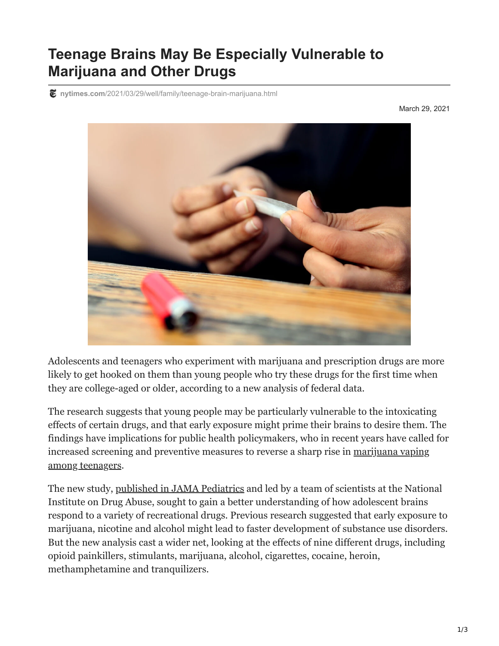## **Teenage Brains May Be Especially Vulnerable to Marijuana and Other Drugs**

**nytimes.com**[/2021/03/29/well/family/teenage-brain-marijuana.html](https://www.nytimes.com/2021/03/29/well/family/teenage-brain-marijuana.html?referringSource=articleShare)

March 29, 2021



Adolescents and teenagers who experiment with marijuana and prescription drugs are more likely to get hooked on them than young people who try these drugs for the first time when they are college-aged or older, according to a new analysis of federal data.

The research suggests that young people may be particularly vulnerable to the intoxicating effects of certain drugs, and that early exposure might prime their brains to desire them. The findings have implications for public health policymakers, who in recent years have called for [increased screening and preventive measures to reverse a sharp rise in marijuana vaping](https://www.nytimes.com/2019/12/18/health/teen-drug-use.html) among teenagers.

The new study, [published in JAMA Pediatrics](https://jamanetwork.com/journals/jamapediatrics/fullarticle/2777817) and led by a team of scientists at the National Institute on Drug Abuse, sought to gain a better understanding of how adolescent brains respond to a variety of recreational drugs. Previous research suggested that early exposure to marijuana, nicotine and alcohol might lead to faster development of substance use disorders. But the new analysis cast a wider net, looking at the effects of nine different drugs, including opioid painkillers, stimulants, marijuana, alcohol, cigarettes, cocaine, heroin, methamphetamine and tranquilizers.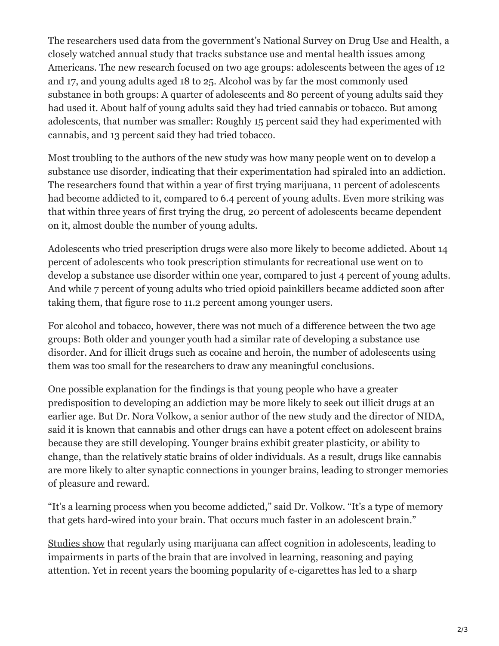The researchers used data from the government's National Survey on Drug Use and Health, a closely watched annual study that tracks substance use and mental health issues among Americans. The new research focused on two age groups: adolescents between the ages of 12 and 17, and young adults aged 18 to 25. Alcohol was by far the most commonly used substance in both groups: A quarter of adolescents and 80 percent of young adults said they had used it. About half of young adults said they had tried cannabis or tobacco. But among adolescents, that number was smaller: Roughly 15 percent said they had experimented with cannabis, and 13 percent said they had tried tobacco.

Most troubling to the authors of the new study was how many people went on to develop a substance use disorder, indicating that their experimentation had spiraled into an addiction. The researchers found that within a year of first trying marijuana, 11 percent of adolescents had become addicted to it, compared to 6.4 percent of young adults. Even more striking was that within three years of first trying the drug, 20 percent of adolescents became dependent on it, almost double the number of young adults.

Adolescents who tried prescription drugs were also more likely to become addicted. About 14 percent of adolescents who took prescription stimulants for recreational use went on to develop a substance use disorder within one year, compared to just 4 percent of young adults. And while 7 percent of young adults who tried opioid painkillers became addicted soon after taking them, that figure rose to 11.2 percent among younger users.

For alcohol and tobacco, however, there was not much of a difference between the two age groups: Both older and younger youth had a similar rate of developing a substance use disorder. And for illicit drugs such as cocaine and heroin, the number of adolescents using them was too small for the researchers to draw any meaningful conclusions.

One possible explanation for the findings is that young people who have a greater predisposition to developing an addiction may be more likely to seek out illicit drugs at an earlier age. But Dr. Nora Volkow, a senior author of the new study and the director of NIDA, said it is known that cannabis and other drugs can have a potent effect on adolescent brains because they are still developing. Younger brains exhibit greater plasticity, or ability to change, than the relatively static brains of older individuals. As a result, drugs like cannabis are more likely to alter synaptic connections in younger brains, leading to stronger memories of pleasure and reward.

"It's a learning process when you become addicted," said Dr. Volkow. "It's a type of memory that gets hard-wired into your brain. That occurs much faster in an adolescent brain."

[Studies show](https://well.blogs.nytimes.com/2016/05/11/talking-with-teenagers-about-marijuana/) that regularly using marijuana can affect cognition in adolescents, leading to impairments in parts of the brain that are involved in learning, reasoning and paying attention. Yet in recent years the booming popularity of e-cigarettes has led to a sharp